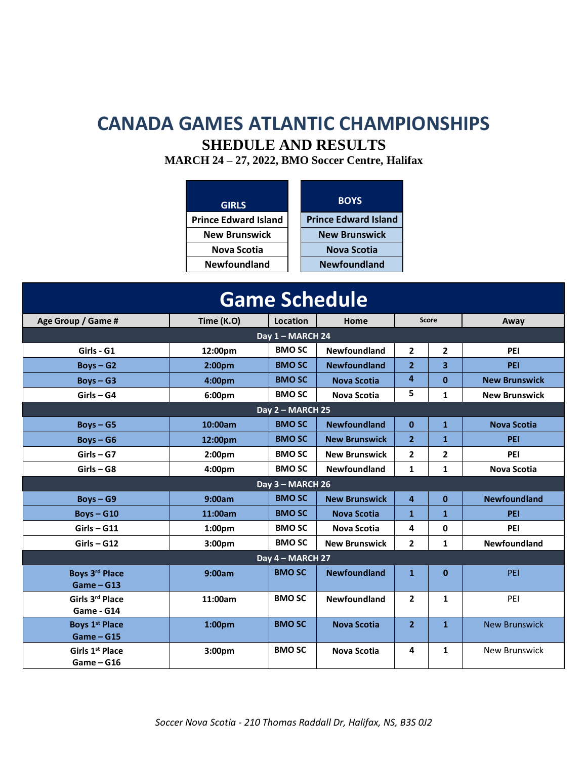## **CANADA GAMES ATLANTIC CHAMPIONSHIPS**

#### **SHEDULE AND RESULTS**

**MARCH 24 – 27, 2022, BMO Soccer Centre, Halifax**

| <b>GIRLS</b>                | <b>BOYS</b>                 |
|-----------------------------|-----------------------------|
| <b>Prince Edward Island</b> | <b>Prince Edward Island</b> |
| <b>New Brunswick</b>        | <b>New Brunswick</b>        |
| Nova Scotia                 | <b>Nova Scotia</b>          |
| <b>Newfoundland</b>         | <b>Newfoundland</b>         |

| <b>Game Schedule</b>                        |                    |                           |                      |                |                         |                      |  |  |
|---------------------------------------------|--------------------|---------------------------|----------------------|----------------|-------------------------|----------------------|--|--|
| Age Group / Game #                          | Time (K.O)         | Location                  | Home                 | <b>Score</b>   |                         | Away                 |  |  |
|                                             |                    | Day $1 - \text{MARCH}$ 24 |                      |                |                         |                      |  |  |
| Girls - G1                                  | 12:00pm            | <b>BMO SC</b>             | Newfoundland         | $\mathbf{2}$   | $\overline{2}$          | PEI                  |  |  |
| $Boys - G2$                                 | $2:00p$ m          | <b>BMO SC</b>             | <b>Newfoundland</b>  | $\overline{2}$ | $\overline{\mathbf{3}}$ | PEI                  |  |  |
| $Boys - G3$                                 | 4:00 <sub>pm</sub> | <b>BMO SC</b>             | <b>Nova Scotia</b>   | 4              | $\mathbf{0}$            | <b>New Brunswick</b> |  |  |
| $Girls - G4$                                | 6:00 <sub>pm</sub> | <b>BMO SC</b>             | <b>Nova Scotia</b>   | 5              | $\mathbf{1}$            | <b>New Brunswick</b> |  |  |
| Day 2 - MARCH 25                            |                    |                           |                      |                |                         |                      |  |  |
| $Boys - G5$                                 | 10:00am            | <b>BMO SC</b>             | <b>Newfoundland</b>  | $\bf{0}$       | $\mathbf{1}$            | <b>Nova Scotia</b>   |  |  |
| $Boys - G6$                                 | 12:00pm            | <b>BMO SC</b>             | <b>New Brunswick</b> | $\overline{2}$ | $\mathbf{1}$            | PEI                  |  |  |
| $Girls - G7$                                | 2:00 <sub>pm</sub> | <b>BMO SC</b>             | <b>New Brunswick</b> | $\overline{2}$ | 2                       | PEI                  |  |  |
| $Girls - G8$                                | 4:00 <sub>pm</sub> | <b>BMO SC</b>             | <b>Newfoundland</b>  | $\mathbf{1}$   | $\mathbf{1}$            | <b>Nova Scotia</b>   |  |  |
| Day 3 - MARCH 26                            |                    |                           |                      |                |                         |                      |  |  |
| $Boys - G9$                                 | 9:00am             | <b>BMO SC</b>             | <b>New Brunswick</b> | $\overline{a}$ | $\mathbf{0}$            | <b>Newfoundland</b>  |  |  |
| $Boys - G10$                                | 11:00am            | <b>BMO SC</b>             | <b>Nova Scotia</b>   | $\mathbf{1}$   | $\mathbf{1}$            | PEI                  |  |  |
| $Girls - G11$                               | 1:00 <sub>pm</sub> | <b>BMO SC</b>             | <b>Nova Scotia</b>   | 4              | 0                       | PEI                  |  |  |
| $Girls - G12$                               | 3:00 <sub>pm</sub> | <b>BMO SC</b>             | <b>New Brunswick</b> | $\overline{2}$ | 1                       | Newfoundland         |  |  |
| Day 4 - MARCH 27                            |                    |                           |                      |                |                         |                      |  |  |
| Boys 3rd Place                              | 9:00am             | <b>BMO SC</b>             | <b>Newfoundland</b>  | $\mathbf{1}$   | $\mathbf{0}$            | PEI                  |  |  |
| $Game - G13$                                |                    |                           |                      |                |                         |                      |  |  |
| Girls 3rd Place                             | 11:00am            | <b>BMO SC</b>             | <b>Newfoundland</b>  | $\overline{2}$ | 1                       | PEI                  |  |  |
| Game - G14                                  |                    |                           |                      |                |                         |                      |  |  |
| <b>Boys 1st Place</b>                       | 1:00 <sub>pm</sub> | <b>BMO SC</b>             | <b>Nova Scotia</b>   | $\overline{2}$ | $\mathbf{1}$            | <b>New Brunswick</b> |  |  |
| $Game - G15$                                |                    |                           |                      |                |                         |                      |  |  |
| Girls 1 <sup>st</sup> Place<br>$Game - G16$ | 3:00pm             | <b>BMO SC</b>             | <b>Nova Scotia</b>   | 4              | 1                       | <b>New Brunswick</b> |  |  |
|                                             |                    |                           |                      |                |                         |                      |  |  |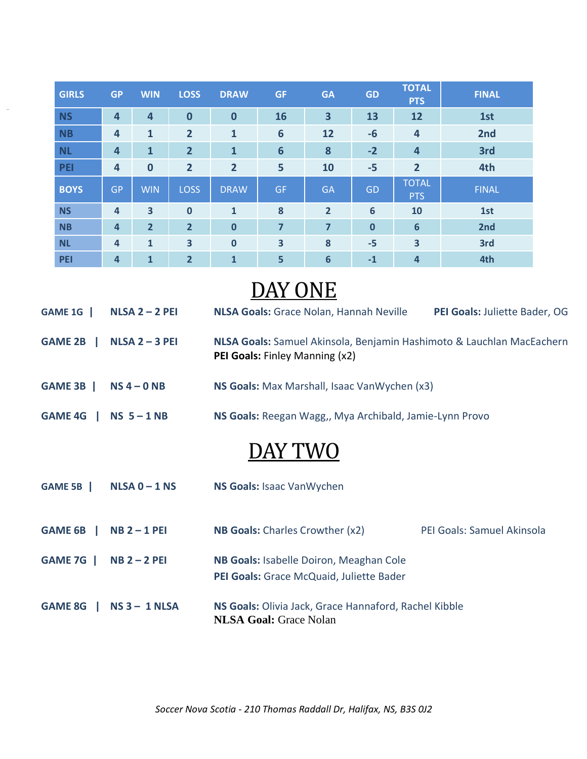| <b>GIRLS</b> | <b>GP</b>               | <b>WIN</b>              | <b>LOSS</b>    | <b>DRAW</b>    | <b>GF</b>       | <b>GA</b>               | <b>GD</b>      | <b>TOTAL</b><br><b>PTS</b> | <b>FINAL</b> |
|--------------|-------------------------|-------------------------|----------------|----------------|-----------------|-------------------------|----------------|----------------------------|--------------|
| <b>NS</b>    | $\overline{\mathbf{4}}$ | $\overline{\mathbf{4}}$ | $\bf{0}$       | $\bf{0}$       | 16              | $\overline{\mathbf{3}}$ | 13             | 12                         | 1st          |
| <b>NB</b>    | $\overline{a}$          | $\mathbf{1}$            | $\overline{2}$ | $\mathbf{1}$   | 6               | 12                      | $-6$           | $\overline{\mathbf{4}}$    | 2nd          |
| <b>NL</b>    | $\overline{a}$          | $\mathbf{1}$            | $\overline{2}$ | $\mathbf{1}$   | $6\phantom{1}6$ | 8                       | $-2$           | 4                          | 3rd          |
| PEI          | $\overline{a}$          | $\bf{0}$                | $\overline{2}$ | $\overline{2}$ | 5               | 10                      | $-5$           | $\overline{2}$             | 4th          |
| <b>BOYS</b>  | <b>GP</b>               | <b>WIN</b>              | <b>LOSS</b>    | <b>DRAW</b>    | <b>GF</b>       | <b>GA</b>               | GD             | <b>TOTAL</b><br><b>PTS</b> | <b>FINAL</b> |
| <b>NS</b>    | $\overline{4}$          | $\overline{\mathbf{3}}$ | $\mathbf{0}$   | $\mathbf{1}$   | 8               | $\overline{2}$          | $6\phantom{1}$ | 10                         | 1st          |
| <b>NB</b>    | $\overline{a}$          | $\overline{2}$          | $\overline{2}$ | $\mathbf 0$    | $\overline{7}$  | $\overline{7}$          | $\mathbf 0$    | $6\phantom{1}6$            | 2nd          |
| <b>NL</b>    | 4                       | $\mathbf{1}$            | 3              | $\bf{0}$       | 3               | 8                       | $-5$           | $\overline{\mathbf{3}}$    | 3rd          |
| <b>PEI</b>   | $\overline{a}$          | $\mathbf{1}$            | $\overline{2}$ | 1              | 5               | $6\phantom{1}6$         | $-1$           | $\overline{\mathbf{4}}$    | 4th          |

fhkjfds

# DAY ONE

| GAME 1G        | $NLSA 2 - 2$ PEI | <b>NLSA Goals:</b> Grace Nolan, Hannah Neville<br>PEI Goals: Juliette Bader, OG                         |                            |  |  |  |
|----------------|------------------|---------------------------------------------------------------------------------------------------------|----------------------------|--|--|--|
| GAME 2B        | $NLSA 2 - 3$ PEI | NLSA Goals: Samuel Akinsola, Benjamin Hashimoto & Lauchlan MacEachern<br>PEI Goals: Finley Manning (x2) |                            |  |  |  |
| GAME 3B        | $NS 4 - 0 NB$    | NS Goals: Max Marshall, Isaac VanWychen (x3)                                                            |                            |  |  |  |
| GAME 4G        | $NS5 - 1NB$      | NS Goals: Reegan Wagg,, Mya Archibald, Jamie-Lynn Provo                                                 |                            |  |  |  |
|                |                  | DAY TWO                                                                                                 |                            |  |  |  |
| GAME 5B        | $NLSA 0 - 1 NS$  | NS Goals: Isaac VanWychen                                                                               |                            |  |  |  |
| GAME 6B        | $NB 2 - 1$ PEI   | NB Goals: Charles Crowther (x2)                                                                         | PEI Goals: Samuel Akinsola |  |  |  |
| GAME 7G        | $NB 2 - 2$ PEI   | NB Goals: Isabelle Doiron, Meaghan Cole<br>PEI Goals: Grace McQuaid, Juliette Bader                     |                            |  |  |  |
| <b>GAME 8G</b> | $NS 3 - 1 NLSA$  | NS Goals: Olivia Jack, Grace Hannaford, Rachel Kibble<br><b>NLSA Goal: Grace Nolan</b>                  |                            |  |  |  |